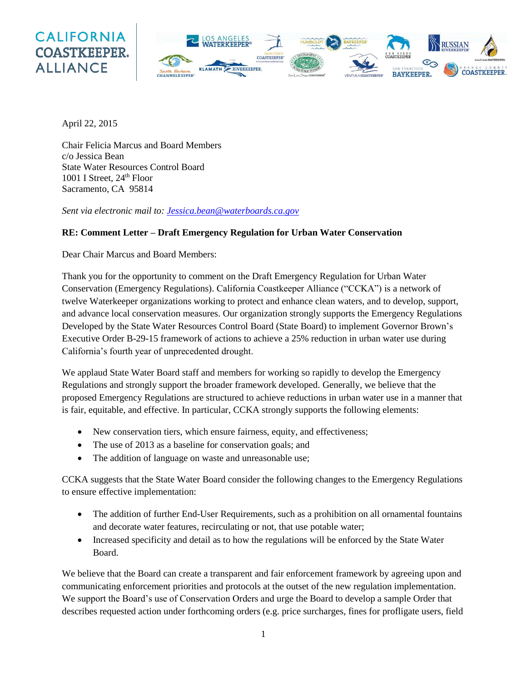## **CALIFORNIA COASTKEEPER. ALLIANCE**



April 22, 2015

Chair Felicia Marcus and Board Members c/o Jessica Bean State Water Resources Control Board 1001 I Street,  $24<sup>th</sup>$  Floor Sacramento, CA 95814

*Sent via electronic mail to: [Jessica.bean@waterboards.ca.gov](mailto:Jessica.bean@waterboards.ca.gov)*

## **RE: Comment Letter – Draft Emergency Regulation for Urban Water Conservation**

Dear Chair Marcus and Board Members:

Thank you for the opportunity to comment on the Draft Emergency Regulation for Urban Water Conservation (Emergency Regulations). California Coastkeeper Alliance ("CCKA") is a network of twelve Waterkeeper organizations working to protect and enhance clean waters, and to develop, support, and advance local conservation measures. Our organization strongly supports the Emergency Regulations Developed by the State Water Resources Control Board (State Board) to implement Governor Brown's Executive Order B-29-15 framework of actions to achieve a 25% reduction in urban water use during California's fourth year of unprecedented drought.

We applaud State Water Board staff and members for working so rapidly to develop the Emergency Regulations and strongly support the broader framework developed. Generally, we believe that the proposed Emergency Regulations are structured to achieve reductions in urban water use in a manner that is fair, equitable, and effective. In particular, CCKA strongly supports the following elements:

- New conservation tiers, which ensure fairness, equity, and effectiveness;
- The use of 2013 as a baseline for conservation goals; and
- The addition of language on waste and unreasonable use;

CCKA suggests that the State Water Board consider the following changes to the Emergency Regulations to ensure effective implementation:

- The addition of further End-User Requirements, such as a prohibition on all ornamental fountains and decorate water features, recirculating or not, that use potable water;
- Increased specificity and detail as to how the regulations will be enforced by the State Water Board.

We believe that the Board can create a transparent and fair enforcement framework by agreeing upon and communicating enforcement priorities and protocols at the outset of the new regulation implementation. We support the Board's use of Conservation Orders and urge the Board to develop a sample Order that describes requested action under forthcoming orders (e.g. price surcharges, fines for profligate users, field